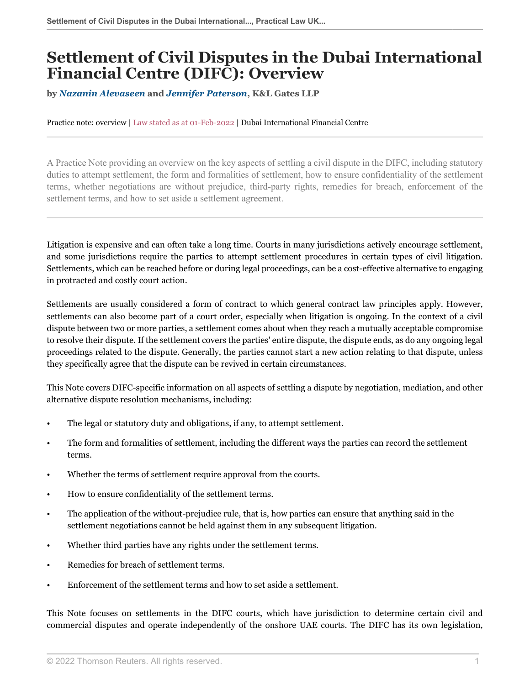# **Settlement of Civil Disputes in the Dubai International Financial Centre (DIFC): Overview**

**by** *[Nazanin Alevaseen](https://www.klgates.com/Nazanin-Aleyaseen )* **and** *[Jennifer Paterson](https://www.klgates.com/Jennifer-Garn )***, K&L Gates LLP**

Practice note: overview | Law stated as at 01-Feb-2022 | Dubai International Financial Centre

A Practice Note providing an overview on the key aspects of settling a civil dispute in the DIFC, including statutory duties to attempt settlement, the form and formalities of settlement, how to ensure confidentiality of the settlement terms, whether negotiations are without prejudice, third-party rights, remedies for breach, enforcement of the settlement terms, and how to set aside a settlement agreement.

Litigation is expensive and can often take a long time. Courts in many jurisdictions actively encourage settlement, and some jurisdictions require the parties to attempt settlement procedures in certain types of civil litigation. Settlements, which can be reached before or during legal proceedings, can be a cost-effective alternative to engaging in protracted and costly court action.

Settlements are usually considered a form of contract to which general contract law principles apply. However, settlements can also become part of a court order, especially when litigation is ongoing. In the context of a civil dispute between two or more parties, a settlement comes about when they reach a mutually acceptable compromise to resolve their dispute. If the settlement covers the parties' entire dispute, the dispute ends, as do any ongoing legal proceedings related to the dispute. Generally, the parties cannot start a new action relating to that dispute, unless they specifically agree that the dispute can be revived in certain circumstances.

This Note covers DIFC-specific information on all aspects of settling a dispute by negotiation, mediation, and other alternative dispute resolution mechanisms, including:

- The legal or statutory duty and obligations, if any, to attempt settlement.
- The form and formalities of settlement, including the different ways the parties can record the settlement terms.
- Whether the terms of settlement require approval from the courts.
- How to ensure confidentiality of the settlement terms.
- The application of the without-prejudice rule, that is, how parties can ensure that anything said in the settlement negotiations cannot be held against them in any subsequent litigation.
- Whether third parties have any rights under the settlement terms.
- Remedies for breach of settlement terms.
- Enforcement of the settlement terms and how to set aside a settlement.

This Note focuses on settlements in the DIFC courts, which have jurisdiction to determine certain civil and commercial disputes and operate independently of the onshore UAE courts. The DIFC has its own legislation,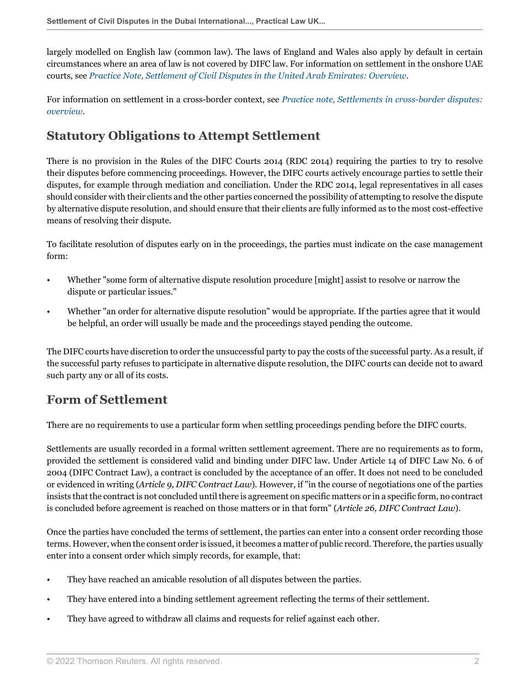largely modelled on English law (common law). The laws of England and Wales also apply by default in certain circumstances where an area of law is not covered by DIFC law. For information on settlement in the onshore UAE courts, see *[Practice Note, Settlement of Civil Disputes in the United Arab Emirates: Overview](http://uk.practicallaw.thomsonreuters.com/w-006-5990?originationContext=document&vr=3.0&rs=PLUK1.0&transitionType=DocumentItem&contextData=(sc.Default))*.

For information on settlement in a cross-border context, see *[Practice note, Settlements in cross-border disputes:](http://uk.practicallaw.thomsonreuters.com/w-005-0922?originationContext=document&vr=3.0&rs=PLUK1.0&transitionType=DocumentItem&contextData=(sc.Default)) [overview](http://uk.practicallaw.thomsonreuters.com/w-005-0922?originationContext=document&vr=3.0&rs=PLUK1.0&transitionType=DocumentItem&contextData=(sc.Default))*.

# <span id="page-1-1"></span>**Statutory Obligations to Attempt Settlement**

There is no provision in the Rules of the DIFC Courts 2014 (RDC 2014) requiring the parties to try to resolve their disputes before commencing proceedings. However, the DIFC courts actively encourage parties to settle their disputes, for example through mediation and conciliation. Under the RDC 2014, legal representatives in all cases should consider with their clients and the other parties concerned the possibility of attempting to resolve the dispute by alternative dispute resolution, and should ensure that their clients are fully informed as to the most cost-effective means of resolving their dispute.

To facilitate resolution of disputes early on in the proceedings, the parties must indicate on the case management form:

- Whether "some form of alternative dispute resolution procedure [might] assist to resolve or narrow the dispute or particular issues."
- Whether "an order for alternative dispute resolution" would be appropriate. If the parties agree that it would be helpful, an order will usually be made and the proceedings stayed pending the outcome.

The DIFC courts have discretion to order the unsuccessful party to pay the costs of the successful party. As a result, if the successful party refuses to participate in alternative dispute resolution, the DIFC courts can decide not to award such party any or all of its costs.

## <span id="page-1-0"></span>**Form of Settlement**

There are no requirements to use a particular form when settling proceedings pending before the DIFC courts.

Settlements are usually recorded in a formal written settlement agreement. There are no requirements as to form, provided the settlement is considered valid and binding under DIFC law. Under Article 14 of DIFC Law No. 6 of 2004 (DIFC Contract Law), a contract is concluded by the acceptance of an offer. It does not need to be concluded or evidenced in writing (*Article 9, DIFC Contract Law*). However, if "in the course of negotiations one of the parties insists that the contract is not concluded until there is agreement on specific matters or in a specific form, no contract is concluded before agreement is reached on those matters or in that form" (*Article 26, DIFC Contract Law*).

Once the parties have concluded the terms of settlement, the parties can enter into a consent order recording those terms. However, when the consent order is issued, it becomes a matter of public record. Therefore, the parties usually enter into a consent order which simply records, for example, that:

- They have reached an amicable resolution of all disputes between the parties.
- They have entered into a binding settlement agreement reflecting the terms of their settlement.
- They have agreed to withdraw all claims and requests for relief against each other.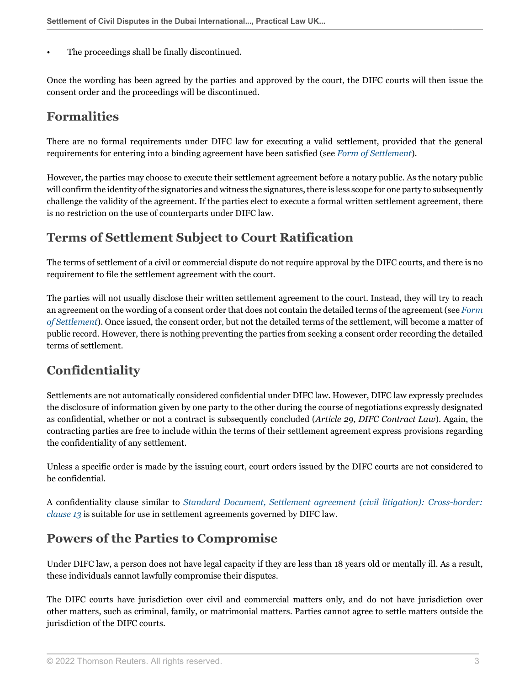The proceedings shall be finally discontinued.

Once the wording has been agreed by the parties and approved by the court, the DIFC courts will then issue the consent order and the proceedings will be discontinued.

#### **Formalities**

There are no formal requirements under DIFC law for executing a valid settlement, provided that the general requirements for entering into a binding agreement have been satisfied (see *[Form of Settlement](#page-1-0)*).

However, the parties may choose to execute their settlement agreement before a notary public. As the notary public will confirm the identity of the signatories and witness the signatures, there is less scope for one party to subsequently challenge the validity of the agreement. If the parties elect to execute a formal written settlement agreement, there is no restriction on the use of counterparts under DIFC law.

#### **Terms of Settlement Subject to Court Ratification**

The terms of settlement of a civil or commercial dispute do not require approval by the DIFC courts, and there is no requirement to file the settlement agreement with the court.

The parties will not usually disclose their written settlement agreement to the court. Instead, they will try to reach an agreement on the wording of a consent order that does not contain the detailed terms of the agreement (see *[Form](#page-1-0) [of Settlement](#page-1-0)*). Once issued, the consent order, but not the detailed terms of the settlement, will become a matter of public record. However, there is nothing preventing the parties from seeking a consent order recording the detailed terms of settlement.

# **Confidentiality**

Settlements are not automatically considered confidential under DIFC law. However, DIFC law expressly precludes the disclosure of information given by one party to the other during the course of negotiations expressly designated as confidential, whether or not a contract is subsequently concluded (*Article 29, DIFC Contract Law*). Again, the contracting parties are free to include within the terms of their settlement agreement express provisions regarding the confidentiality of any settlement.

Unless a specific order is made by the issuing court, court orders issued by the DIFC courts are not considered to be confidential.

A confidentiality clause similar to *[Standard Document, Settlement agreement \(civil litigation\): Cross-border:](http://uk.practicallaw.thomsonreuters.com/w-005-4067?originationContext=document&vr=3.0&rs=PLUK1.0&transitionType=DocumentItem&contextData=(sc.Default)#co_anchor_a587429) [clause 13](http://uk.practicallaw.thomsonreuters.com/w-005-4067?originationContext=document&vr=3.0&rs=PLUK1.0&transitionType=DocumentItem&contextData=(sc.Default)#co_anchor_a587429)* is suitable for use in settlement agreements governed by DIFC law.

## **Powers of the Parties to Compromise**

Under DIFC law, a person does not have legal capacity if they are less than 18 years old or mentally ill. As a result, these individuals cannot lawfully compromise their disputes.

The DIFC courts have jurisdiction over civil and commercial matters only, and do not have jurisdiction over other matters, such as criminal, family, or matrimonial matters. Parties cannot agree to settle matters outside the jurisdiction of the DIFC courts.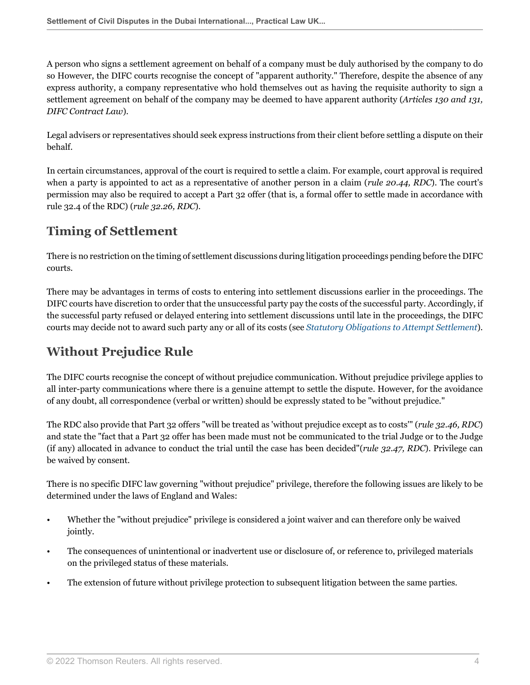A person who signs a settlement agreement on behalf of a company must be duly authorised by the company to do so However, the DIFC courts recognise the concept of "apparent authority." Therefore, despite the absence of any express authority, a company representative who hold themselves out as having the requisite authority to sign a settlement agreement on behalf of the company may be deemed to have apparent authority (*Articles 130 and 131, DIFC Contract Law*).

Legal advisers or representatives should seek express instructions from their client before settling a dispute on their behalf.

In certain circumstances, approval of the court is required to settle a claim. For example, court approval is required when a party is appointed to act as a representative of another person in a claim (*rule 20.44, RDC*). The court's permission may also be required to accept a Part 32 offer (that is, a formal offer to settle made in accordance with rule 32.4 of the RDC) (*rule 32.26, RDC*).

## **Timing of Settlement**

There is no restriction on the timing of settlement discussions during litigation proceedings pending before the DIFC courts.

There may be advantages in terms of costs to entering into settlement discussions earlier in the proceedings. The DIFC courts have discretion to order that the unsuccessful party pay the costs of the successful party. Accordingly, if the successful party refused or delayed entering into settlement discussions until late in the proceedings, the DIFC courts may decide not to award such party any or all of its costs (see *[Statutory Obligations to Attempt Settlement](#page-1-1)*).

# **Without Prejudice Rule**

The DIFC courts recognise the concept of without prejudice communication. Without prejudice privilege applies to all inter-party communications where there is a genuine attempt to settle the dispute. However, for the avoidance of any doubt, all correspondence (verbal or written) should be expressly stated to be "without prejudice."

The RDC also provide that Part 32 offers "will be treated as 'without prejudice except as to costs'" (*rule 32.46, RDC*) and state the "fact that a Part 32 offer has been made must not be communicated to the trial Judge or to the Judge (if any) allocated in advance to conduct the trial until the case has been decided"(*rule 32.47, RDC*). Privilege can be waived by consent.

There is no specific DIFC law governing "without prejudice" privilege, therefore the following issues are likely to be determined under the laws of England and Wales:

- Whether the "without prejudice" privilege is considered a joint waiver and can therefore only be waived jointly.
- The consequences of unintentional or inadvertent use or disclosure of, or reference to, privileged materials on the privileged status of these materials.
- The extension of future without privilege protection to subsequent litigation between the same parties.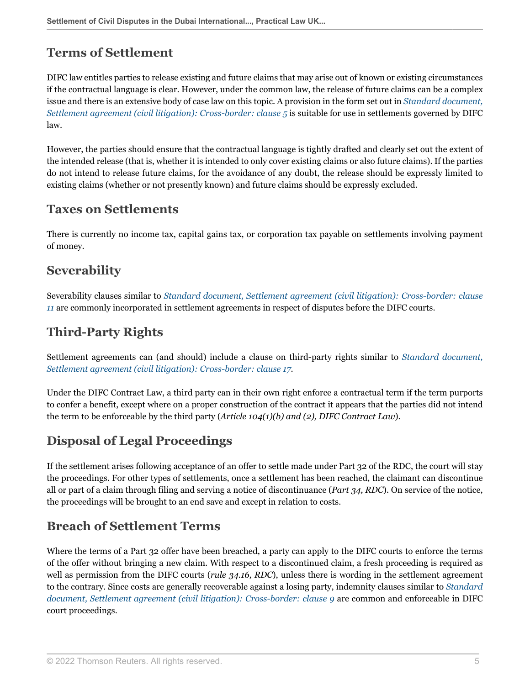# **Terms of Settlement**

DIFC law entitles parties to release existing and future claims that may arise out of known or existing circumstances if the contractual language is clear. However, under the common law, the release of future claims can be a complex issue and there is an extensive body of case law on this topic. A provision in the form set out in *[Standard document,](http://uk.practicallaw.thomsonreuters.com/w-005-4067?originationContext=document&vr=3.0&rs=PLUK1.0&transitionType=DocumentItem&contextData=(sc.Default)#co_anchor_a514799) [Settlement agreement \(civil litigation\): Cross-border: clause 5](http://uk.practicallaw.thomsonreuters.com/w-005-4067?originationContext=document&vr=3.0&rs=PLUK1.0&transitionType=DocumentItem&contextData=(sc.Default)#co_anchor_a514799)* is suitable for use in settlements governed by DIFC law.

However, the parties should ensure that the contractual language is tightly drafted and clearly set out the extent of the intended release (that is, whether it is intended to only cover existing claims or also future claims). If the parties do not intend to release future claims, for the avoidance of any doubt, the release should be expressly limited to existing claims (whether or not presently known) and future claims should be expressly excluded.

#### **Taxes on Settlements**

There is currently no income tax, capital gains tax, or corporation tax payable on settlements involving payment of money.

#### **Severability**

Severability clauses similar to *[Standard document, Settlement agreement \(civil litigation\): Cross-border: clause](http://uk.practicallaw.thomsonreuters.com/w-005-4067?originationContext=document&vr=3.0&rs=PLUK1.0&transitionType=DocumentItem&contextData=(sc.Default)#co_anchor_a620467) [11](http://uk.practicallaw.thomsonreuters.com/w-005-4067?originationContext=document&vr=3.0&rs=PLUK1.0&transitionType=DocumentItem&contextData=(sc.Default)#co_anchor_a620467)* are commonly incorporated in settlement agreements in respect of disputes before the DIFC courts.

# **Third-Party Rights**

Settlement agreements can (and should) include a clause on third-party rights similar to *[Standard document,](http://uk.practicallaw.thomsonreuters.com/w-005-4067?originationContext=document&vr=3.0&rs=PLUK1.0&transitionType=DocumentItem&contextData=(sc.Default)#co_anchor_a466023) [Settlement agreement \(civil litigation\): Cross-border: clause 17](http://uk.practicallaw.thomsonreuters.com/w-005-4067?originationContext=document&vr=3.0&rs=PLUK1.0&transitionType=DocumentItem&contextData=(sc.Default)#co_anchor_a466023)*.

Under the DIFC Contract Law, a third party can in their own right enforce a contractual term if the term purports to confer a benefit, except where on a proper construction of the contract it appears that the parties did not intend the term to be enforceable by the third party (*Article 104(1)(b) and (2), DIFC Contract Law*).

## **Disposal of Legal Proceedings**

If the settlement arises following acceptance of an offer to settle made under Part 32 of the RDC, the court will stay the proceedings. For other types of settlements, once a settlement has been reached, the claimant can discontinue all or part of a claim through filing and serving a notice of discontinuance (*Part 34, RDC*). On service of the notice, the proceedings will be brought to an end save and except in relation to costs.

## **Breach of Settlement Terms**

Where the terms of a Part 32 offer have been breached, a party can apply to the DIFC courts to enforce the terms of the offer without bringing a new claim. With respect to a discontinued claim, a fresh proceeding is required as well as permission from the DIFC courts (*rule 34.16, RDC*), unless there is wording in the settlement agreement to the contrary. Since costs are generally recoverable against a losing party, indemnity clauses similar to *[Standard](http://uk.practicallaw.thomsonreuters.com/w-005-4067?originationContext=document&vr=3.0&rs=PLUK1.0&transitionType=DocumentItem&contextData=(sc.Default)#co_anchor_a414987) [document, Settlement agreement \(civil litigation\): Cross-border: clause 9](http://uk.practicallaw.thomsonreuters.com/w-005-4067?originationContext=document&vr=3.0&rs=PLUK1.0&transitionType=DocumentItem&contextData=(sc.Default)#co_anchor_a414987)* are common and enforceable in DIFC court proceedings.